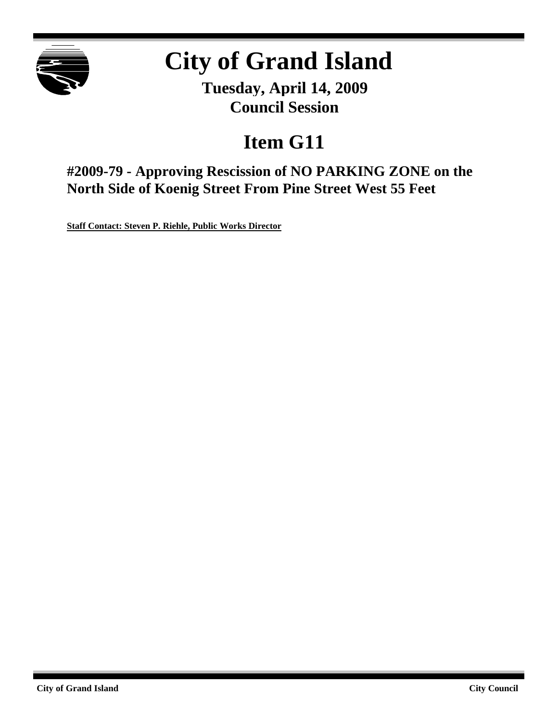

# **City of Grand Island**

**Tuesday, April 14, 2009 Council Session**

## **Item G11**

**#2009-79 - Approving Rescission of NO PARKING ZONE on the North Side of Koenig Street From Pine Street West 55 Feet**

**Staff Contact: Steven P. Riehle, Public Works Director**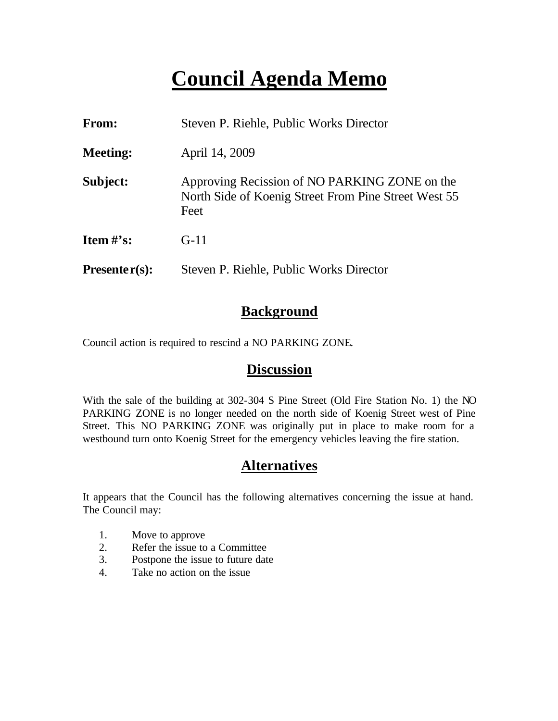### **Council Agenda Memo**

| From:                          | Steven P. Riehle, Public Works Director                                                                       |
|--------------------------------|---------------------------------------------------------------------------------------------------------------|
| <b>Meeting:</b>                | April 14, 2009                                                                                                |
| Subject:                       | Approving Recission of NO PARKING ZONE on the<br>North Side of Koenig Street From Pine Street West 55<br>Feet |
| <b>Item <math>\#</math>'s:</b> | $G-11$                                                                                                        |
| $Presenter(s):$                | Steven P. Riehle, Public Works Director                                                                       |

#### **Background**

Council action is required to rescind a NO PARKING ZONE.

#### **Discussion**

With the sale of the building at 302-304 S Pine Street (Old Fire Station No. 1) the NO PARKING ZONE is no longer needed on the north side of Koenig Street west of Pine Street. This NO PARKING ZONE was originally put in place to make room for a westbound turn onto Koenig Street for the emergency vehicles leaving the fire station.

#### **Alternatives**

It appears that the Council has the following alternatives concerning the issue at hand. The Council may:

- 1. Move to approve
- 2. Refer the issue to a Committee
- 3. Postpone the issue to future date
- 4. Take no action on the issue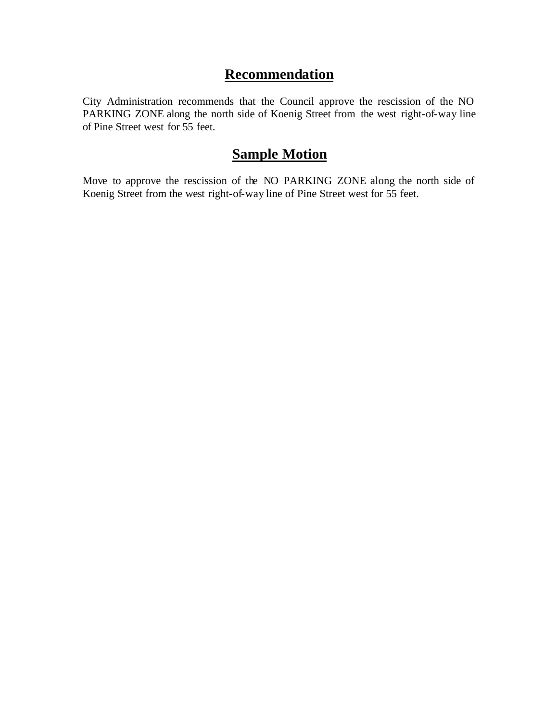#### **Recommendation**

City Administration recommends that the Council approve the rescission of the NO PARKING ZONE along the north side of Koenig Street from the west right-of-way line of Pine Street west for 55 feet.

### **Sample Motion**

Move to approve the rescission of the NO PARKING ZONE along the north side of Koenig Street from the west right-of-way line of Pine Street west for 55 feet.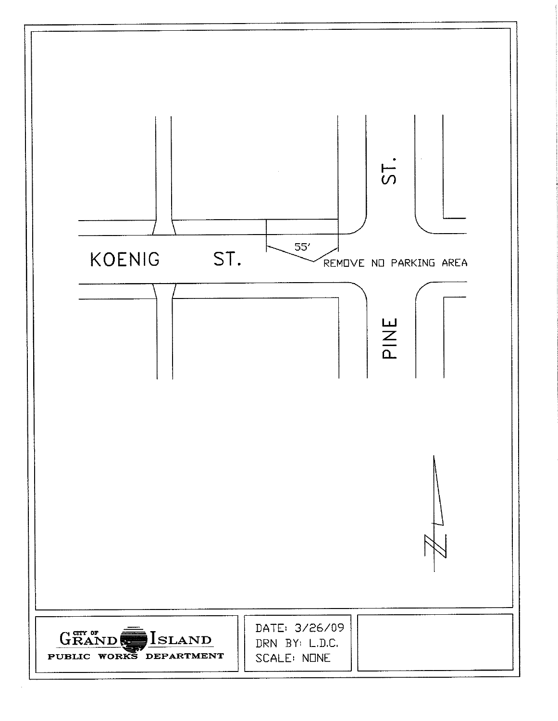